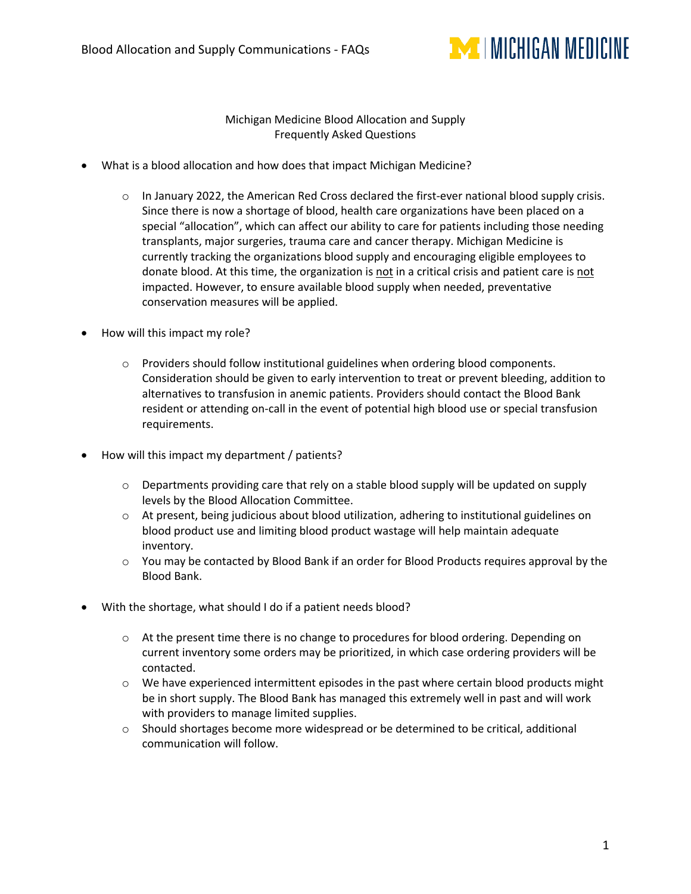

## Michigan Medicine Blood Allocation and Supply Frequently Asked Questions

- What is a blood allocation and how does that impact Michigan Medicine?
	- $\circ$  In January 2022, the American Red Cross declared the first-ever national blood supply crisis. Since there is now a shortage of blood, health care organizations have been placed on a special "allocation", which can affect our ability to care for patients including those needing transplants, major surgeries, trauma care and cancer therapy. Michigan Medicine is currently tracking the organizations blood supply and encouraging eligible employees to donate blood. At this time, the organization is not in a critical crisis and patient care is not impacted. However, to ensure available blood supply when needed, preventative conservation measures will be applied.
- How will this impact my role?
	- o Providers should follow institutional guidelines when ordering blood components. Consideration should be given to early intervention to treat or prevent bleeding, addition to alternatives to transfusion in anemic patients. Providers should contact the Blood Bank resident or attending on-call in the event of potential high blood use or special transfusion requirements.
- How will this impact my department / patients?
	- $\circ$  Departments providing care that rely on a stable blood supply will be updated on supply levels by the Blood Allocation Committee.
	- o At present, being judicious about blood utilization, adhering to institutional guidelines on blood product use and limiting blood product wastage will help maintain adequate inventory.
	- o You may be contacted by Blood Bank if an order for Blood Products requires approval by the Blood Bank.
- With the shortage, what should I do if a patient needs blood?
	- $\circ$  At the present time there is no change to procedures for blood ordering. Depending on current inventory some orders may be prioritized, in which case ordering providers will be contacted.
	- o We have experienced intermittent episodes in the past where certain blood products might be in short supply. The Blood Bank has managed this extremely well in past and will work with providers to manage limited supplies.
	- $\circ$  Should shortages become more widespread or be determined to be critical, additional communication will follow.